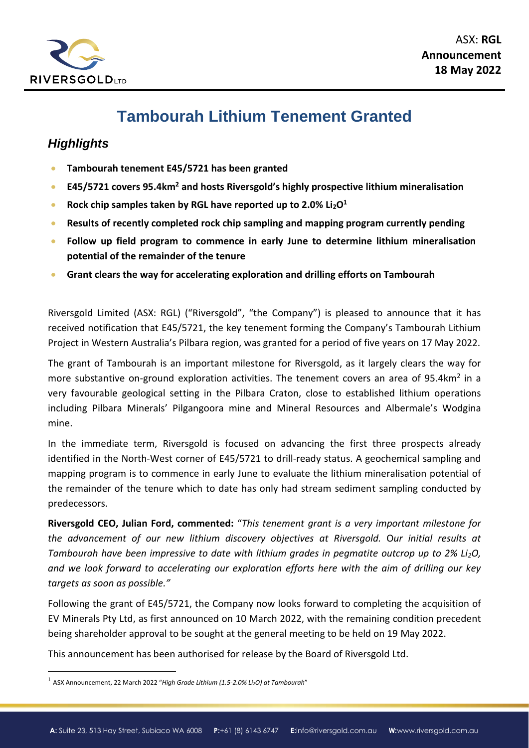

# **Tambourah Lithium Tenement Granted**

## *Highlights*

- **Tambourah tenement E45/5721 has been granted**
- **E45/5721 covers 95.4km<sup>2</sup> and hosts Riversgold's highly prospective lithium mineralisation**
- **Rock chip samples taken by RGL have reported up to 2.0% Li2O<sup>1</sup>**
- **Results of recently completed rock chip sampling and mapping program currently pending**
- **Follow up field program to commence in early June to determine lithium mineralisation potential of the remainder of the tenure**
- **Grant clears the way for accelerating exploration and drilling efforts on Tambourah**

Riversgold Limited (ASX: RGL) ("Riversgold", "the Company") is pleased to announce that it has received notification that E45/5721, the key tenement forming the Company's Tambourah Lithium Project in Western Australia's Pilbara region, was granted for a period of five years on 17 May 2022.

The grant of Tambourah is an important milestone for Riversgold, as it largely clears the way for more substantive on-ground exploration activities. The tenement covers an area of 95.4 $km<sup>2</sup>$  in a very favourable geological setting in the Pilbara Craton, close to established lithium operations including Pilbara Minerals' Pilgangoora mine and Mineral Resources and Albermale's Wodgina mine.

In the immediate term, Riversgold is focused on advancing the first three prospects already identified in the North-West corner of E45/5721 to drill-ready status. A geochemical sampling and mapping program is to commence in early June to evaluate the lithium mineralisation potential of the remainder of the tenure which to date has only had stream sediment sampling conducted by predecessors.

**Riversgold CEO, Julian Ford, commented:** "*This tenement grant is a very important milestone for the advancement of our new lithium discovery objectives at Riversgold.* O*ur initial results at Tambourah have been impressive to date with lithium grades in pegmatite outcrop up to 2% Li2O, and we look forward to accelerating our exploration efforts here with the aim of drilling our key targets as soon as possible."*

Following the grant of E45/5721, the Company now looks forward to completing the acquisition of EV Minerals Pty Ltd, as first announced on 10 March 2022, with the remaining condition precedent being shareholder approval to be sought at the general meeting to be held on 19 May 2022.

This announcement has been authorised for release by the Board of Riversgold Ltd.

<sup>1</sup> ASX Announcement, 22 March 2022 "*High Grade Lithium (1.5-2.0% Li2O) at Tambourah*"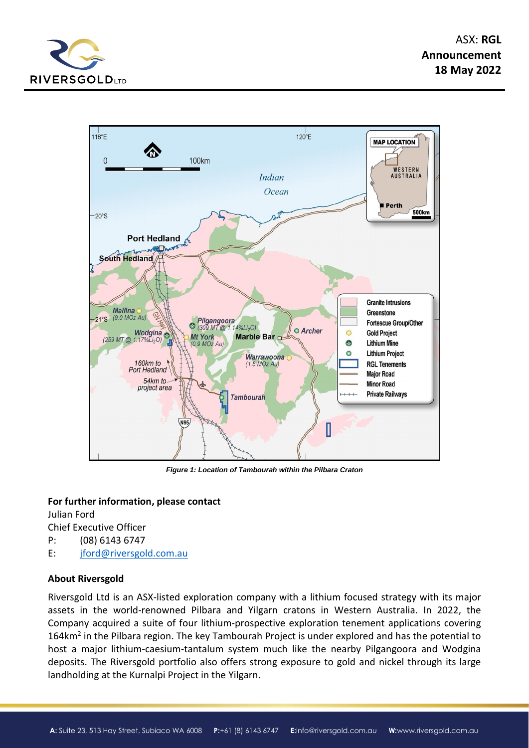



*Figure 1: Location of Tambourah within the Pilbara Craton*

#### **For further information, please contact**

Julian Ford Chief Executive Officer P: (08) 6143 6747

E: [jford@riversgold.com.au](mailto:jford@riversgold.com.au)

### **About Riversgold**

Riversgold Ltd is an ASX-listed exploration company with a lithium focused strategy with its major assets in the world-renowned Pilbara and Yilgarn cratons in Western Australia. In 2022, the Company acquired a suite of four lithium-prospective exploration tenement applications covering 164km<sup>2</sup> in the Pilbara region. The key Tambourah Project is under explored and has the potential to host a major lithium-caesium-tantalum system much like the nearby Pilgangoora and Wodgina deposits. The Riversgold portfolio also offers strong exposure to gold and nickel through its large landholding at the Kurnalpi Project in the Yilgarn.